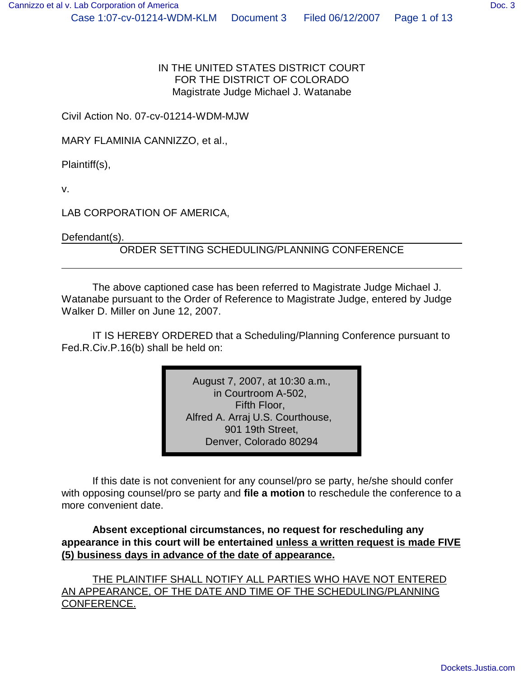IN THE UNITED STATES DISTRICT COURT FOR THE DISTRICT OF COLORADO Magistrate Judge Michael J. Watanabe

Civil Action No. 07-cv-01214-WDM-MJW

MARY FLAMINIA CANNIZZO, et al.,

Plaintiff(s),

v.

LAB CORPORATION OF AMERICA,

Defendant(s).

ORDER SETTING SCHEDULING/PLANNING CONFERENCE

The above captioned case has been referred to Magistrate Judge Michael J. Watanabe pursuant to the Order of Reference to Magistrate Judge, entered by Judge Walker D. Miller on June 12, 2007.

IT IS HEREBY ORDERED that a Scheduling/Planning Conference pursuant to Fed.R.Civ.P.16(b) shall be held on:

> August 7, 2007, at 10:30 a.m., in Courtroom A-502, Fifth Floor, Alfred A. Arraj U.S. Courthouse, 901 19th Street, Denver, Colorado 80294

If this date is not convenient for any counsel/pro se party, he/she should confer with opposing counsel/pro se party and **file a motion** to reschedule the conference to a more convenient date.

**Absent exceptional circumstances, no request for rescheduling any appearance in this court will be entertained unless a written request is made FIVE (5) business days in advance of the date of appearance.**

THE PLAINTIFF SHALL NOTIFY ALL PARTIES WHO HAVE NOT ENTERED AN APPEARANCE, OF THE DATE AND TIME OF THE SCHEDULING/PLANNING CONFERENCE.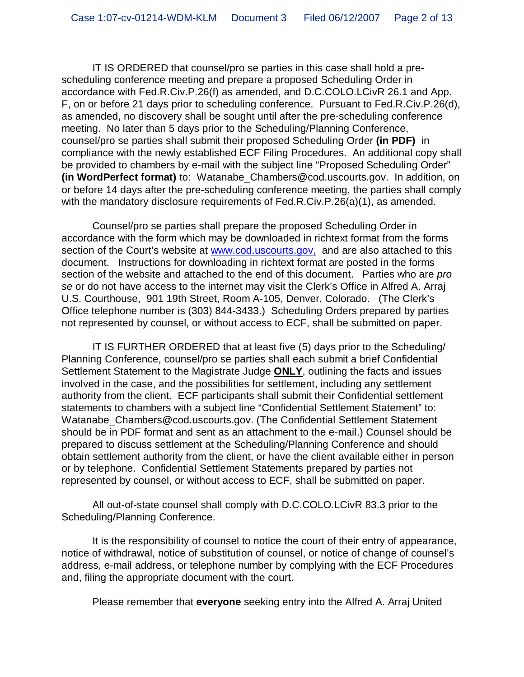IT IS ORDERED that counsel/pro se parties in this case shall hold a prescheduling conference meeting and prepare a proposed Scheduling Order in accordance with Fed.R.Civ.P.26(f) as amended, and D.C.COLO.LCivR 26.1 and App. F, on or before 21 days prior to scheduling conference. Pursuant to Fed.R.Civ.P.26(d), as amended, no discovery shall be sought until after the pre-scheduling conference meeting. No later than 5 days prior to the Scheduling/Planning Conference, counsel/pro se parties shall submit their proposed Scheduling Order **(in PDF)** in compliance with the newly established ECF Filing Procedures. An additional copy shall be provided to chambers by e-mail with the subject line "Proposed Scheduling Order" **(in WordPerfect format)** to: Watanabe\_Chambers@cod.uscourts.gov. In addition, on or before 14 days after the pre-scheduling conference meeting, the parties shall comply with the mandatory disclosure requirements of Fed.R.Civ.P.26(a)(1), as amended.

Counsel/pro se parties shall prepare the proposed Scheduling Order in accordance with the form which may be downloaded in richtext format from the forms section of the Court's website at www.cod.uscourts.gov, and are also attached to this document. Instructions for downloading in richtext format are posted in the forms section of the website and attached to the end of this document. Parties who are *pro se* or do not have access to the internet may visit the Clerk's Office in Alfred A. Arraj U.S. Courthouse, 901 19th Street, Room A-105, Denver, Colorado. (The Clerk's Office telephone number is (303) 844-3433.) Scheduling Orders prepared by parties not represented by counsel, or without access to ECF, shall be submitted on paper.

IT IS FURTHER ORDERED that at least five (5) days prior to the Scheduling/ Planning Conference, counsel/pro se parties shall each submit a brief Confidential Settlement Statement to the Magistrate Judge **ONLY**, outlining the facts and issues involved in the case, and the possibilities for settlement, including any settlement authority from the client. ECF participants shall submit their Confidential settlement statements to chambers with a subject line "Confidential Settlement Statement" to: Watanabe Chambers@cod.uscourts.gov. (The Confidential Settlement Statement should be in PDF format and sent as an attachment to the e-mail.) Counsel should be prepared to discuss settlement at the Scheduling/Planning Conference and should obtain settlement authority from the client, or have the client available either in person or by telephone. Confidential Settlement Statements prepared by parties not represented by counsel, or without access to ECF, shall be submitted on paper.

All out-of-state counsel shall comply with D.C.COLO.LCivR 83.3 prior to the Scheduling/Planning Conference.

It is the responsibility of counsel to notice the court of their entry of appearance, notice of withdrawal, notice of substitution of counsel, or notice of change of counsel's address, e-mail address, or telephone number by complying with the ECF Procedures and, filing the appropriate document with the court.

Please remember that **everyone** seeking entry into the Alfred A. Arraj United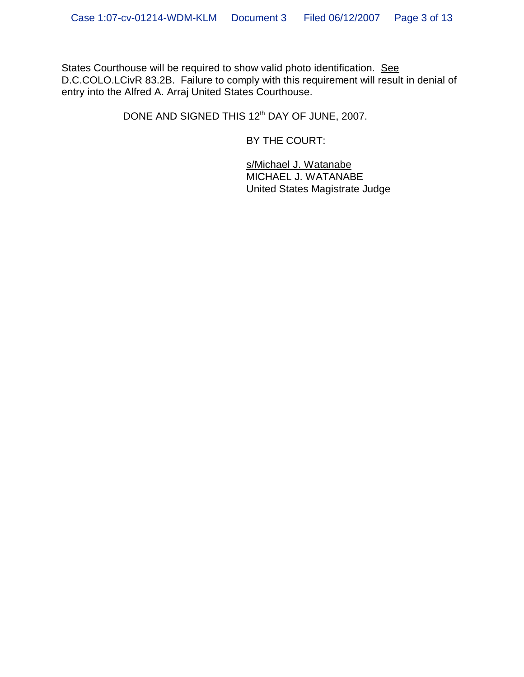States Courthouse will be required to show valid photo identification. See D.C.COLO.LCivR 83.2B. Failure to comply with this requirement will result in denial of entry into the Alfred A. Arraj United States Courthouse.

DONE AND SIGNED THIS 12<sup>th</sup> DAY OF JUNE, 2007.

BY THE COURT:

s/Michael J. Watanabe MICHAEL J. WATANABE United States Magistrate Judge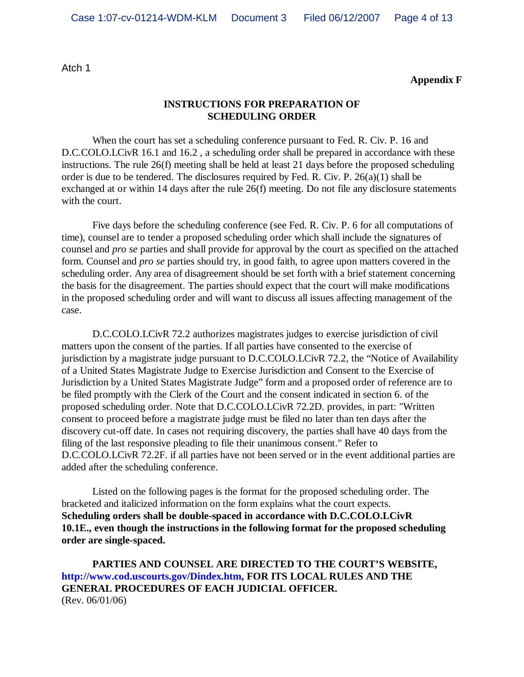Atch 1

**Appendix F**

#### **INSTRUCTIONS FOR PREPARATION OF SCHEDULING ORDER**

When the court has set a scheduling conference pursuant to Fed. R. Civ. P. 16 and D.C.COLO.LCivR 16.1 and 16.2, a scheduling order shall be prepared in accordance with these instructions. The rule 26(f) meeting shall be held at least 21 days before the proposed scheduling order is due to be tendered. The disclosures required by Fed. R. Civ. P. 26(a)(1) shall be exchanged at or within 14 days after the rule 26(f) meeting. Do not file any disclosure statements with the court.

Five days before the scheduling conference (see Fed. R. Civ. P. 6 for all computations of time), counsel are to tender a proposed scheduling order which shall include the signatures of counsel and *pro se* parties and shall provide for approval by the court as specified on the attached form. Counsel and *pro se* parties should try, in good faith, to agree upon matters covered in the scheduling order. Any area of disagreement should be set forth with a brief statement concerning the basis for the disagreement. The parties should expect that the court will make modifications in the proposed scheduling order and will want to discuss all issues affecting management of the case.

D.C.COLO.LCivR 72.2 authorizes magistrates judges to exercise jurisdiction of civil matters upon the consent of the parties. If all parties have consented to the exercise of jurisdiction by a magistrate judge pursuant to D.C.COLO.LCivR 72.2, the "Notice of Availability of a United States Magistrate Judge to Exercise Jurisdiction and Consent to the Exercise of Jurisdiction by a United States Magistrate Judge" form and a proposed order of reference are to be filed promptly with the Clerk of the Court and the consent indicated in section 6. of the proposed scheduling order. Note that D.C.COLO.LCivR 72.2D. provides, in part: "Written consent to proceed before a magistrate judge must be filed no later than ten days after the discovery cut-off date. In cases not requiring discovery, the parties shall have 40 days from the filing of the last responsive pleading to file their unanimous consent." Refer to D.C.COLO.LCivR 72.2F. if all parties have not been served or in the event additional parties are added after the scheduling conference.

Listed on the following pages is the format for the proposed scheduling order. The bracketed and italicized information on the form explains what the court expects. **Scheduling orders shall be double-spaced in accordance with D.C.COLO.LCivR 10.1E., even though the instructions in the following format for the proposed scheduling order are single-spaced.**

**PARTIES AND COUNSEL ARE DIRECTED TO THE COURT'S WEBSITE, http://www.cod.uscourts.gov/Dindex.htm, FOR ITS LOCAL RULES AND THE GENERAL PROCEDURES OF EACH JUDICIAL OFFICER.** (Rev. 06/01/06)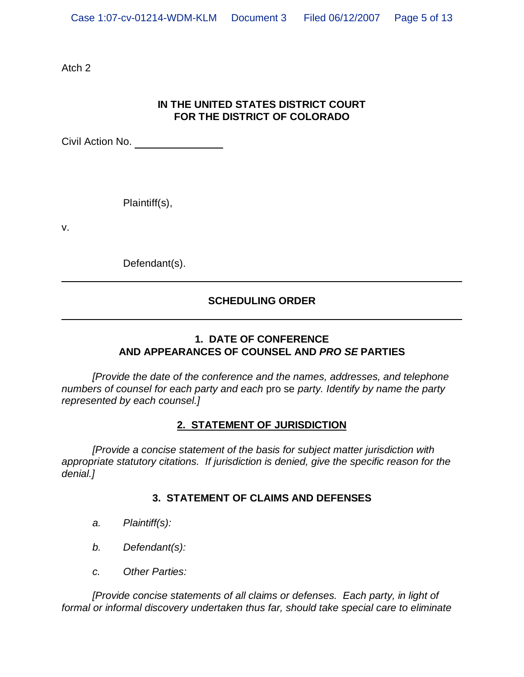Atch 2

## **IN THE UNITED STATES DISTRICT COURT FOR THE DISTRICT OF COLORADO**

Civil Action No.

Plaintiff(s),

v.

Defendant(s).

## **SCHEDULING ORDER**

## **1. DATE OF CONFERENCE AND APPEARANCES OF COUNSEL AND** *PRO SE* **PARTIES**

*[Provide the date of the conference and the names, addresses, and telephone numbers of counsel for each party and each* pro se *party. Identify by name the party represented by each counsel.]*

#### **2. STATEMENT OF JURISDICTION**

*[Provide a concise statement of the basis for subject matter jurisdiction with appropriate statutory citations. If jurisdiction is denied, give the specific reason for the denial.]*

### **3. STATEMENT OF CLAIMS AND DEFENSES**

- *a. Plaintiff(s):*
- *b. Defendant(s):*
- *c. Other Parties:*

*[Provide concise statements of all claims or defenses. Each party, in light of formal or informal discovery undertaken thus far, should take special care to eliminate*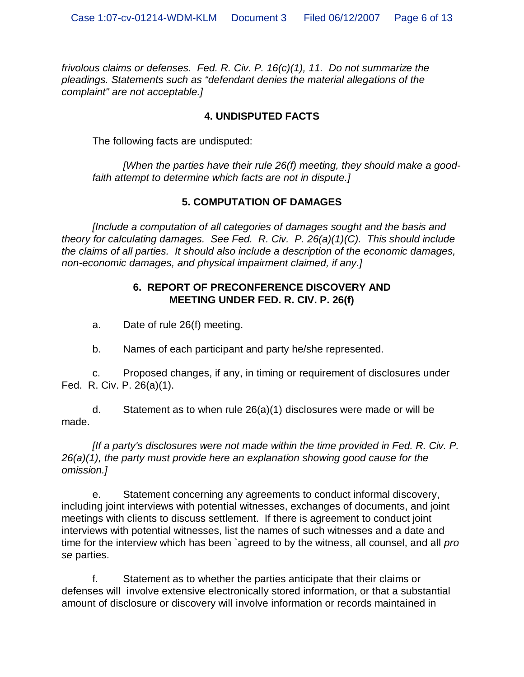*frivolous claims or defenses. Fed. R. Civ. P. 16(c)(1), 11. Do not summarize the pleadings. Statements such as "defendant denies the material allegations of the complaint" are not acceptable.]*

#### **4. UNDISPUTED FACTS**

The following facts are undisputed:

*[When the parties have their rule 26(f) meeting, they should make a goodfaith attempt to determine which facts are not in dispute.]*

### **5. COMPUTATION OF DAMAGES**

*[Include a computation of all categories of damages sought and the basis and theory for calculating damages. See Fed. R. Civ. P. 26(a)(1)(C). This should include the claims of all parties. It should also include a description of the economic damages, non-economic damages, and physical impairment claimed, if any.]*

### **6. REPORT OF PRECONFERENCE DISCOVERY AND MEETING UNDER FED. R. CIV. P. 26(f)**

a. Date of rule 26(f) meeting.

b. Names of each participant and party he/she represented.

c. Proposed changes, if any, in timing or requirement of disclosures under Fed. R. Civ. P. 26(a)(1).

d. Statement as to when rule 26(a)(1) disclosures were made or will be made.

*[If a party's disclosures were not made within the time provided in Fed. R. Civ. P. 26(a)(1), the party must provide here an explanation showing good cause for the omission.]*

e. Statement concerning any agreements to conduct informal discovery, including joint interviews with potential witnesses, exchanges of documents, and joint meetings with clients to discuss settlement. If there is agreement to conduct joint interviews with potential witnesses, list the names of such witnesses and a date and time for the interview which has been `agreed to by the witness, all counsel, and all *pro se* parties.

f. Statement as to whether the parties anticipate that their claims or defenses will involve extensive electronically stored information, or that a substantial amount of disclosure or discovery will involve information or records maintained in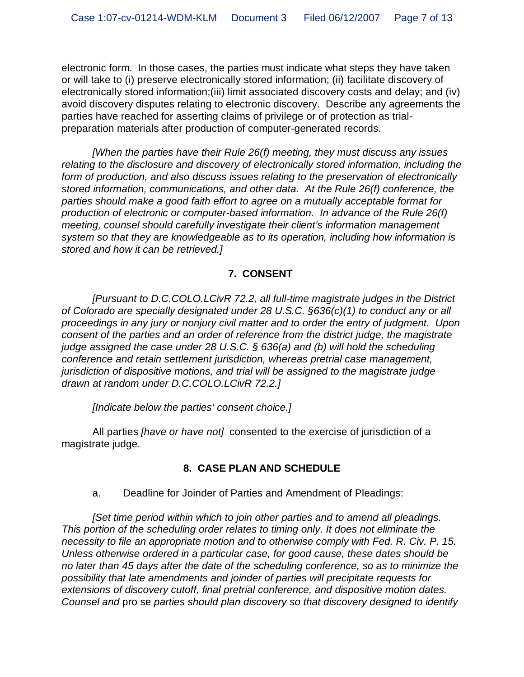electronic form. In those cases, the parties must indicate what steps they have taken or will take to (i) preserve electronically stored information; (ii) facilitate discovery of electronically stored information;(iii) limit associated discovery costs and delay; and (iv) avoid discovery disputes relating to electronic discovery. Describe any agreements the parties have reached for asserting claims of privilege or of protection as trialpreparation materials after production of computer-generated records.

*[When the parties have their Rule 26(f) meeting, they must discuss any issues relating to the disclosure and discovery of electronically stored information, including the form of production, and also discuss issues relating to the preservation of electronically stored information, communications, and other data. At the Rule 26(f) conference, the parties should make a good faith effort to agree on a mutually acceptable format for production of electronic or computer-based information. In advance of the Rule 26(f) meeting, counsel should carefully investigate their client's information management system so that they are knowledgeable as to its operation, including how information is stored and how it can be retrieved.]*

### **7. CONSENT**

*[Pursuant to D.C.COLO.LCivR 72.2, all full-time magistrate judges in the District of Colorado are specially designated under 28 U.S.C. §636(c)(1) to conduct any or all proceedings in any jury or nonjury civil matter and to order the entry of judgment. Upon consent of the parties and an order of reference from the district judge, the magistrate judge assigned the case under 28 U.S.C. § 636(a) and (b) will hold the scheduling conference and retain settlement jurisdiction, whereas pretrial case management, jurisdiction of dispositive motions, and trial will be assigned to the magistrate judge drawn at random under D.C.COLO.LCivR 72.2.]*

*[Indicate below the parties' consent choice.]*

All parties *[have or have not]* consented to the exercise of jurisdiction of a magistrate judge.

### **8. CASE PLAN AND SCHEDULE**

a. Deadline for Joinder of Parties and Amendment of Pleadings:

*[Set time period within which to join other parties and to amend all pleadings. This portion of the scheduling order relates to timing only. It does not eliminate the necessity to file an appropriate motion and to otherwise comply with Fed. R. Civ. P. 15. Unless otherwise ordered in a particular case, for good cause, these dates should be no later than 45 days after the date of the scheduling conference, so as to minimize the possibility that late amendments and joinder of parties will precipitate requests for extensions of discovery cutoff, final pretrial conference, and dispositive motion dates. Counsel and* pro se *parties should plan discovery so that discovery designed to identify*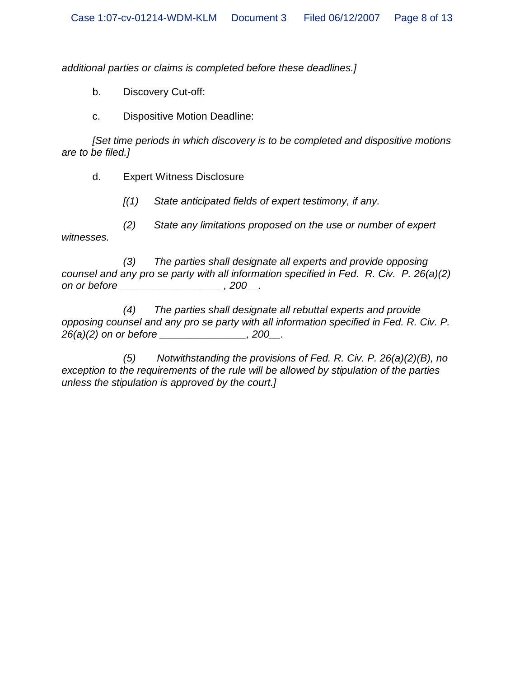*additional parties or claims is completed before these deadlines.]*

b. Discovery Cut-off:

c. Dispositive Motion Deadline:

*[Set time periods in which discovery is to be completed and dispositive motions are to be filed.]*

d. Expert Witness Disclosure

*[(1) State anticipated fields of expert testimony, if any.*

*(2) State any limitations proposed on the use or number of expert witnesses.*

*(3) The parties shall designate all experts and provide opposing counsel and any pro se party with all information specified in Fed. R. Civ. P. 26(a)(2) on or before \_\_\_\_\_\_\_\_\_\_\_\_\_\_\_\_\_\_, 200\_\_.*

*(4) The parties shall designate all rebuttal experts and provide opposing counsel and any pro se party with all information specified in Fed. R. Civ. P. 26(a)(2) on or before \_\_\_\_\_\_\_\_\_\_\_\_\_\_\_, 200\_\_.*

*(5) Notwithstanding the provisions of Fed. R. Civ. P. 26(a)(2)(B), no exception to the requirements of the rule will be allowed by stipulation of the parties unless the stipulation is approved by the court.]*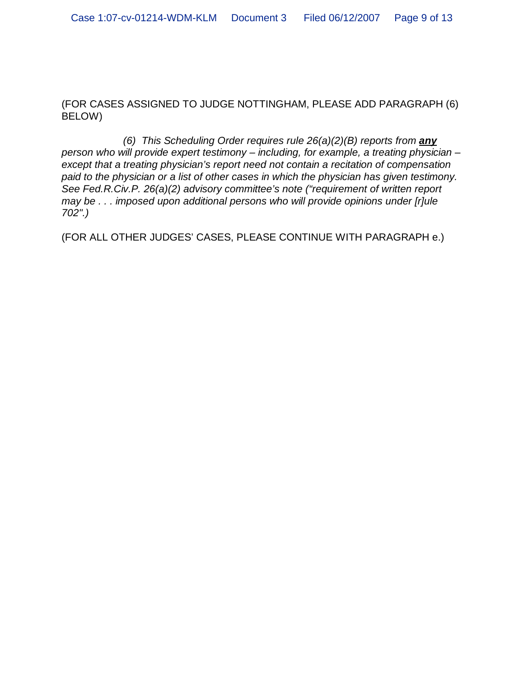(FOR CASES ASSIGNED TO JUDGE NOTTINGHAM, PLEASE ADD PARAGRAPH (6) BELOW)

*(6) This Scheduling Order requires rule 26(a)(2)(B) reports from any person who will provide expert testimony – including, for example, a treating physician – except that a treating physician's report need not contain a recitation of compensation paid to the physician or a list of other cases in which the physician has given testimony. See Fed.R.Civ.P. 26(a)(2) advisory committee's note ("requirement of written report may be . . . imposed upon additional persons who will provide opinions under [r]ule 702".)*

(FOR ALL OTHER JUDGES' CASES, PLEASE CONTINUE WITH PARAGRAPH e.)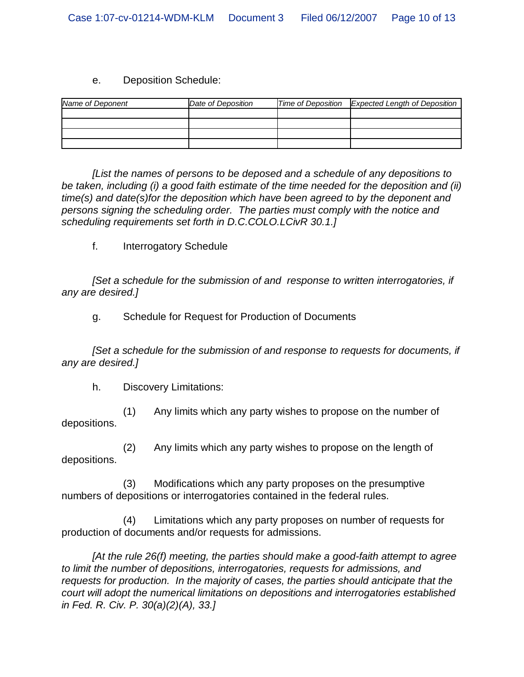#### e. Deposition Schedule:

| Name of Deponent | Date of Deposition | Time of Deposition Expected Length of Deposition |
|------------------|--------------------|--------------------------------------------------|
|                  |                    |                                                  |
|                  |                    |                                                  |
|                  |                    |                                                  |
|                  |                    |                                                  |

*[List the names of persons to be deposed and a schedule of any depositions to be taken, including (i) a good faith estimate of the time needed for the deposition and (ii) time(s) and date(s)for the deposition which have been agreed to by the deponent and persons signing the scheduling order. The parties must comply with the notice and scheduling requirements set forth in D.C.COLO.LCivR 30.1.]*

f. Interrogatory Schedule

*[Set a schedule for the submission of and response to written interrogatories, if any are desired.]*

g. Schedule for Request for Production of Documents

*[Set a schedule for the submission of and response to requests for documents, if any are desired.]*

h. Discovery Limitations:

(1) Any limits which any party wishes to propose on the number of depositions.

(2) Any limits which any party wishes to propose on the length of depositions.

(3) Modifications which any party proposes on the presumptive numbers of depositions or interrogatories contained in the federal rules.

(4) Limitations which any party proposes on number of requests for production of documents and/or requests for admissions.

*[At the rule 26(f) meeting, the parties should make a good-faith attempt to agree to limit the number of depositions, interrogatories, requests for admissions, and requests for production. In the majority of cases, the parties should anticipate that the court will adopt the numerical limitations on depositions and interrogatories established in Fed. R. Civ. P. 30(a)(2)(A), 33.]*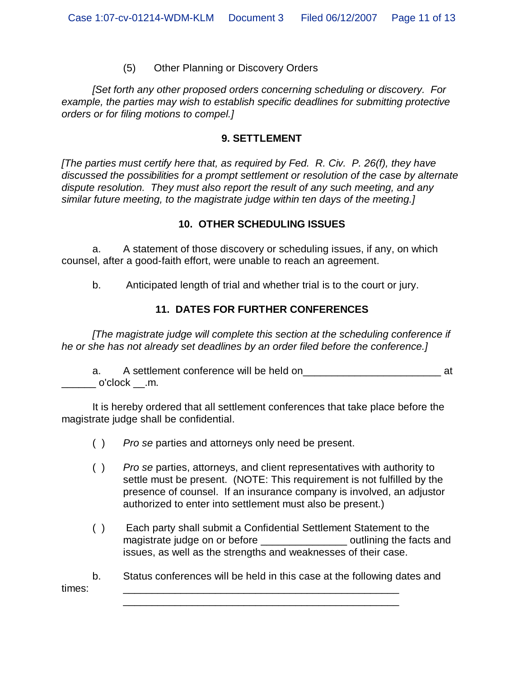#### (5) Other Planning or Discovery Orders

*[Set forth any other proposed orders concerning scheduling or discovery. For example, the parties may wish to establish specific deadlines for submitting protective orders or for filing motions to compel.]*

#### **9. SETTLEMENT**

*[The parties must certify here that, as required by Fed. R. Civ. P. 26(f), they have discussed the possibilities for a prompt settlement or resolution of the case by alternate dispute resolution. They must also report the result of any such meeting, and any similar future meeting, to the magistrate judge within ten days of the meeting.]*

#### **10. OTHER SCHEDULING ISSUES**

a. A statement of those discovery or scheduling issues, if any, on which counsel, after a good-faith effort, were unable to reach an agreement.

b. Anticipated length of trial and whether trial is to the court or jury.

### **11. DATES FOR FURTHER CONFERENCES**

*[The magistrate judge will complete this section at the scheduling conference if he or she has not already set deadlines by an order filed before the conference.]*

a. A settlement conference will be held on\_\_\_\_\_\_\_\_\_\_\_\_\_\_\_\_\_\_\_\_\_\_\_\_ at  $\_$  o'clock  $\_$ .m.

It is hereby ordered that all settlement conferences that take place before the magistrate judge shall be confidential.

- ( ) *Pro se* parties and attorneys only need be present.
- ( ) *Pro se* parties, attorneys, and client representatives with authority to settle must be present. (NOTE: This requirement is not fulfilled by the presence of counsel. If an insurance company is involved, an adjustor authorized to enter into settlement must also be present.)
- ( ) Each party shall submit a Confidential Settlement Statement to the magistrate judge on or before the section of continuing the facts and issues, as well as the strengths and weaknesses of their case.

b. Status conferences will be held in this case at the following dates and times: \_\_\_\_\_\_\_\_\_\_\_\_\_\_\_\_\_\_\_\_\_\_\_\_\_\_\_\_\_\_\_\_\_\_\_\_\_\_\_\_\_\_\_\_\_\_\_\_

\_\_\_\_\_\_\_\_\_\_\_\_\_\_\_\_\_\_\_\_\_\_\_\_\_\_\_\_\_\_\_\_\_\_\_\_\_\_\_\_\_\_\_\_\_\_\_\_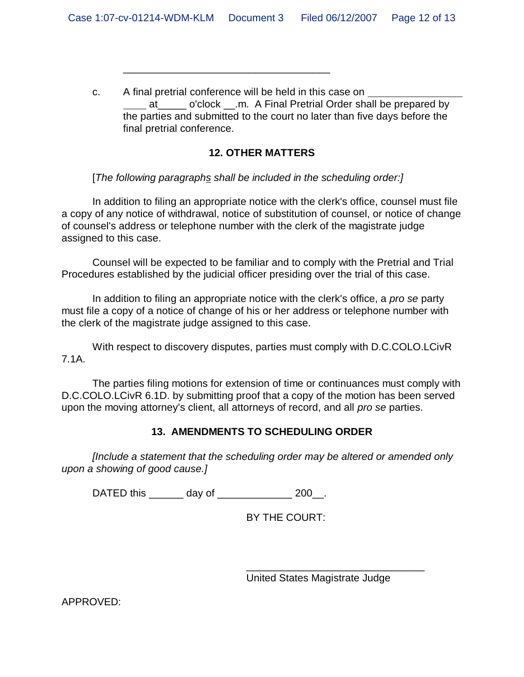c. A final pretrial conference will be held in this case on at o'clock .m. A Final Pretrial Order shall be prepared by the parties and submitted to the court no later than five days before the final pretrial conference.

## **12. OTHER MATTERS**

[*The following paragraphs shall be included in the scheduling order:]*

\_\_\_\_\_\_\_\_\_\_\_\_\_\_\_\_\_\_\_\_\_\_\_\_\_\_\_\_\_\_\_\_\_\_\_\_

In addition to filing an appropriate notice with the clerk's office, counsel must file a copy of any notice of withdrawal, notice of substitution of counsel, or notice of change of counsel's address or telephone number with the clerk of the magistrate judge assigned to this case.

Counsel will be expected to be familiar and to comply with the Pretrial and Trial Procedures established by the judicial officer presiding over the trial of this case.

In addition to filing an appropriate notice with the clerk's office, a *pro se* party must file a copy of a notice of change of his or her address or telephone number with the clerk of the magistrate judge assigned to this case.

With respect to discovery disputes, parties must comply with D.C.COLO.LCivR 7.1A.

The parties filing motions for extension of time or continuances must comply with D.C.COLO.LCivR 6.1D. by submitting proof that a copy of the motion has been served upon the moving attorney's client, all attorneys of record, and all *pro se* parties.

# **13. AMENDMENTS TO SCHEDULING ORDER**

*[Include a statement that the scheduling order may be altered or amended only upon a showing of good cause.]*

DATED this \_\_\_\_\_\_\_ day of \_\_\_\_\_\_\_\_\_\_\_\_\_\_\_ 200\_\_.

BY THE COURT:

United States Magistrate Judge

\_\_\_\_\_\_\_\_\_\_\_\_\_\_\_\_\_\_\_\_\_\_\_\_\_\_\_\_\_\_\_